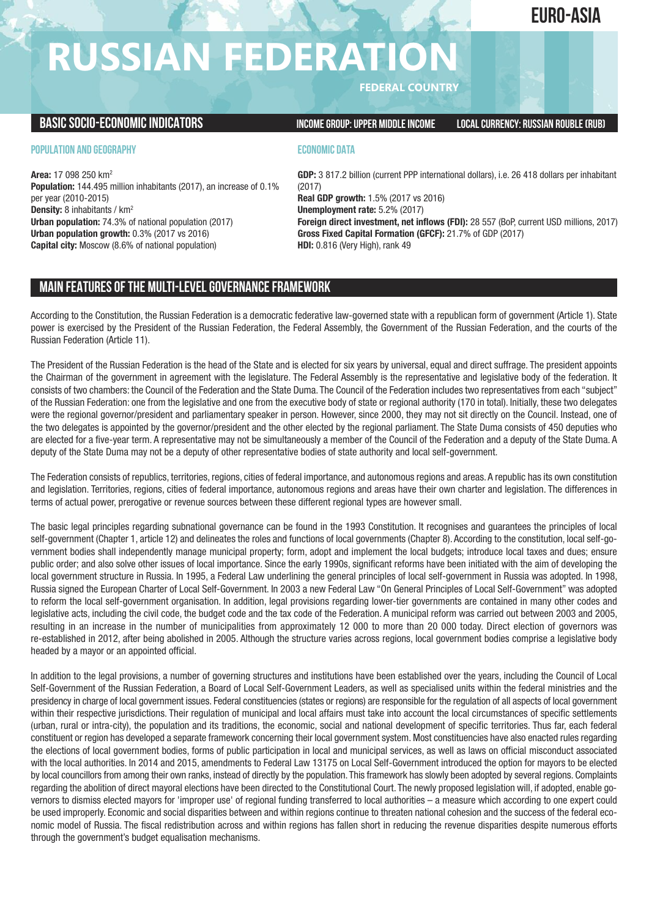## **euro-ASIA**

# **RUSSIAN FEDERATION**

**FEDERAL COUNTRY**

**BASICSOCIO-ECONOMICINDICATORS INCOMEGROUP:UPPER MIDDLEINCOME LOCALCURRENCY: RUSSIAN ROUBLE(RUB)**

## **POPULATION AND GEOGRAPHY**

**Area:** 17 098 250 km2 **Population:** 144.495 million inhabitants (2017), an increase of 0.1% per year (2010-2015) **Density:** 8 inhabitants / km2 **Urban population:** 74.3% of national population (2017) **Urban population growth:** 0.3% (2017 vs 2016) **Capital city:** Moscow (8.6% of national population)

## **ECONOMIC DATA**

**GDP:** 3 817.2 billion (current PPP international dollars), i.e. 26 418 dollars per inhabitant (2017) **Real GDP growth:** 1.5% (2017 vs 2016)

**Unemployment rate:** 5.2% (2017)

**Foreign direct investment, net inflows (FDI):** 28 557 (BoP, current USD millions, 2017) **Gross Fixed Capital Formation (GFCF):** 21.7% of GDP (2017) **HDI:** 0.816 (Very High), rank 49

## **MAIN FEATURESOFTHE MULTI-LEVELGOVERNANCEFRAMEWORK**

According to the Constitution, the Russian Federation is a democratic federative law-governed state with a republican form of government (Article 1). State power is exercised by the President of the Russian Federation, the Federal Assembly, the Government of the Russian Federation, and the courts of the Russian Federation (Article 11).

The President of the Russian Federation is the head of the State and is elected for six years by universal, equal and direct suffrage. The president appoints the Chairman of the government in agreement with the legislature. The Federal Assembly is the representative and legislative body of the federation. It consists of two chambers: the Council of the Federation and the State Duma. The Council of the Federation includes two representatives from each "subject" of the Russian Federation: one from the legislative and one from the executive body of state or regional authority (170 in total). Initially, these two delegates were the regional governor/president and parliamentary speaker in person. However, since 2000, they may not sit directly on the Council. Instead, one of the two delegates is appointed by the governor/president and the other elected by the regional parliament. The State Duma consists of 450 deputies who are elected for a five-year term. A representative may not be simultaneously a member of the Council of the Federation and a deputy of the State Duma. A deputy of the State Duma may not be a deputy of other representative bodies of state authority and local self-government.

The Federation consists of republics, territories, regions, cities of federal importance, and autonomous regions and areas. A republic has its own constitution and legislation. Territories, regions, cities of federal importance, autonomous regions and areas have their own charter and legislation. The differences in terms of actual power, prerogative or revenue sources between these different regional types are however small.

The basic legal principles regarding subnational governance can be found in the 1993 Constitution. It recognises and guarantees the principles of local self-government (Chapter 1, article 12) and delineates the roles and functions of local governments (Chapter 8). According to the constitution, local self-government bodies shall independently manage municipal property; form, adopt and implement the local budgets; introduce local taxes and dues; ensure public order; and also solve other issues of local importance. Since the early 1990s, significant reforms have been initiated with the aim of developing the local government structure in Russia. In 1995, a Federal Law underlining the general principles of local self-government in Russia was adopted. In 1998, Russia signed the European Charter of Local Self-Government. In 2003 a new Federal Law "On General Principles of Local Self-Government" was adopted to reform the local self-government organisation. In addition, legal provisions regarding lower-tier governments are contained in many other codes and legislative acts, including the civil code, the budget code and the tax code of the Federation. A municipal reform was carried out between 2003 and 2005, resulting in an increase in the number of municipalities from approximately 12 000 to more than 20 000 today. Direct election of governors was re-established in 2012, after being abolished in 2005. Although the structure varies across regions, local government bodies comprise a legislative body headed by a mayor or an appointed official.

In addition to the legal provisions, a number of governing structures and institutions have been established over the years, including the Council of Local Self-Government of the Russian Federation, a Board of Local Self-Government Leaders, as well as specialised units within the federal ministries and the presidency in charge of local government issues. Federal constituencies (states or regions) are responsible for the regulation of all aspects of local government within their respective jurisdictions. Their regulation of municipal and local affairs must take into account the local circumstances of specific settlements (urban, rural or intra-city), the population and its traditions, the economic, social and national development of specific territories. Thus far, each federal constituent or region has developed a separate framework concerning their local government system. Most constituencies have also enacted rules regarding the elections of local government bodies, forms of public participation in local and municipal services, as well as laws on official misconduct associated with the local authorities. In 2014 and 2015, amendments to Federal Law 13175 on Local Self-Government introduced the option for mayors to be elected by local councillors from among their own ranks, instead of directly by the population. This framework has slowly been adopted by several regions. Complaints regarding the abolition of direct mayoral elections have been directed to the Constitutional Court. The newly proposed legislation will, if adopted, enable governors to dismiss elected mayors for 'improper use' of regional funding transferred to local authorities – a measure which according to one expert could be used improperly. Economic and social disparities between and within regions continue to threaten national cohesion and the success of the federal economic model of Russia. The fiscal redistribution across and within regions has fallen short in reducing the revenue disparities despite numerous efforts through the government's budget equalisation mechanisms.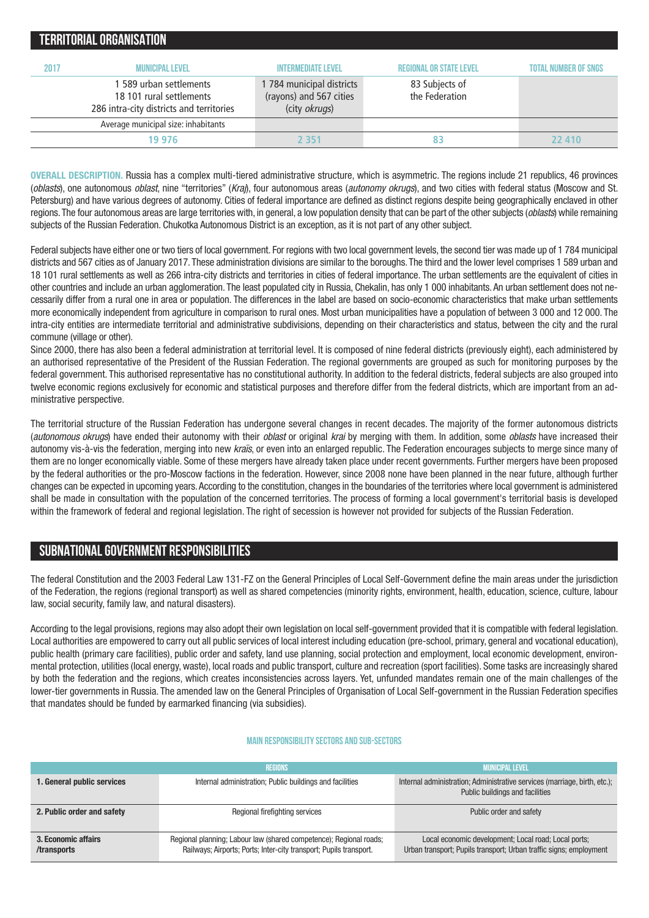|      | TENNITUNIAL UNUANISATIUN.                                                     |                                                                                   |                                                                    |                             |
|------|-------------------------------------------------------------------------------|-----------------------------------------------------------------------------------|--------------------------------------------------------------------|-----------------------------|
| 2017 | <b>MUNICIPAL LEVEL</b><br>1 589 urban settlements<br>18 101 rural settlements | <b>INTERMEDIATE LEVEL</b><br>1 784 municipal districts<br>(rayons) and 567 cities | <b>REGIONAL OR STATE LEVEL</b><br>83 Subjects of<br>the Federation | <b>TOTAL NUMBER OF SNGS</b> |
|      | 286 intra-city districts and territories                                      | (city okrugs)                                                                     |                                                                    |                             |
|      | Average municipal size: inhabitants                                           |                                                                                   |                                                                    |                             |
|      | 19 976                                                                        | 2 351                                                                             | 83                                                                 | 22 410                      |
|      |                                                                               |                                                                                   |                                                                    |                             |

**OVERALL DESCRIPTION.** Russia has a complex multi-tiered administrative structure, which is asymmetric. The regions include 21 republics, 46 provinces (*oblasts*), one autonomous *oblast*, nine "territories" (*Kraj*), four autonomous areas (*autonomy okrugs*), and two cities with federal status (Moscow and St. Petersburg) and have various degrees of autonomy. Cities of federal importance are defined as distinct regions despite being geographically enclaved in other regions.The four autonomous areas are large territories with, in general, a low population density that can be part of the other subjects (*oblasts*) while remaining subjects of the Russian Federation. Chukotka Autonomous District is an exception, as it is not part of any other subject.

Federal subjects have either one or two tiers of local government. For regions with two local government levels, the second tier was made up of 1 784 municipal districts and 567 cities as of January 2017. These administration divisions are similar to the boroughs. The third and the lower level comprises 1 589 urban and 18 101 rural settlements as well as 266 intra-city districts and territories in cities of federal importance. The urban settlements are the equivalent of cities in other countries and include an urban agglomeration. The least populated city in Russia, Chekalin, has only 1 000 inhabitants. An urban settlement does not necessarily differ from a rural one in area or population. The differences in the label are based on socio-economic characteristics that make urban settlements more economically independent from agriculture in comparison to rural ones. Most urban municipalities have a population of between 3 000 and 12 000. The intra-city entities are intermediate territorial and administrative subdivisions, depending on their characteristics and status, between the city and the rural commune (village or other).

Since 2000, there has also been a federal administration at territorial level. It is composed of nine federal districts (previously eight), each administered by an authorised representative of the President of the Russian Federation. The regional governments are grouped as such for monitoring purposes by the federal government. This authorised representative has no constitutional authority. In addition to the federal districts, federal subjects are also grouped into twelve economic regions exclusively for economic and statistical purposes and therefore differ from the federal districts, which are important from an administrative perspective.

The territorial structure of the Russian Federation has undergone several changes in recent decades. The majority of the former autonomous districts (*autonomous okrugs*) have ended their autonomy with their *oblast* or original *krai* by merging with them. In addition, some *oblasts* have increased their autonomy vis-à-vis the federation, merging into new *kraïs*, or even into an enlarged republic. The Federation encourages subjects to merge since many of them are no longer economically viable. Some of these mergers have already taken place under recent governments. Further mergers have been proposed by the federal authorities or the pro-Moscow factions in the federation. However, since 2008 none have been planned in the near future, although further changes can be expected in upcoming years.According to the constitution, changes in the boundaries of the territories where local government is administered shall be made in consultation with the population of the concerned territories. The process of forming a local government's territorial basis is developed within the framework of federal and regional legislation. The right of secession is however not provided for subjects of the Russian Federation.

## **SUBNATIONALGOVERNMENT RESPONSIBILITIES**

**TERRITORIALORGANISATION**

The federal Constitution and the 2003 Federal Law 131-FZ on the General Principles of Local Self-Government define the main areas under the jurisdiction of the Federation, the regions (regional transport) as well as shared competencies (minority rights, environment, health, education, science, culture, labour law, social security, family law, and natural disasters).

According to the legal provisions, regions may also adopt their own legislation on local self-government provided that it is compatible with federal legislation. Local authorities are empowered to carry out all public services of local interest including education (pre-school, primary, general and vocational education), public health (primary care facilities), public order and safety, land use planning, social protection and employment, local economic development, environmental protection, utilities (local energy, waste), local roads and public transport, culture and recreation (sport facilities). Some tasks are increasingly shared by both the federation and the regions, which creates inconsistencies across layers. Yet, unfunded mandates remain one of the main challenges of the lower-tier governments in Russia. The amended law on the General Principles of Organisation of Local Self-government in the Russian Federation specifies that mandates should be funded by earmarked financing (via subsidies).

### **Main responsibilitysectors and sub-sectors**

|                                    | <b>REGIONS</b>                                                                                                                           | <b>MUNICIPAL LEVEL</b>                                                                                                     |
|------------------------------------|------------------------------------------------------------------------------------------------------------------------------------------|----------------------------------------------------------------------------------------------------------------------------|
| 1. General public services         | Internal administration; Public buildings and facilities                                                                                 | Internal administration; Administrative services (marriage, birth, etc.);<br>Public buildings and facilities               |
| 2. Public order and safety         | Regional firefighting services                                                                                                           | Public order and safety                                                                                                    |
| 3. Economic affairs<br>/transports | Regional planning; Labour law (shared competence); Regional roads;<br>Railways; Airports; Ports; Inter-city transport; Pupils transport. | Local economic development; Local road; Local ports;<br>Urban transport; Pupils transport; Urban traffic signs; employment |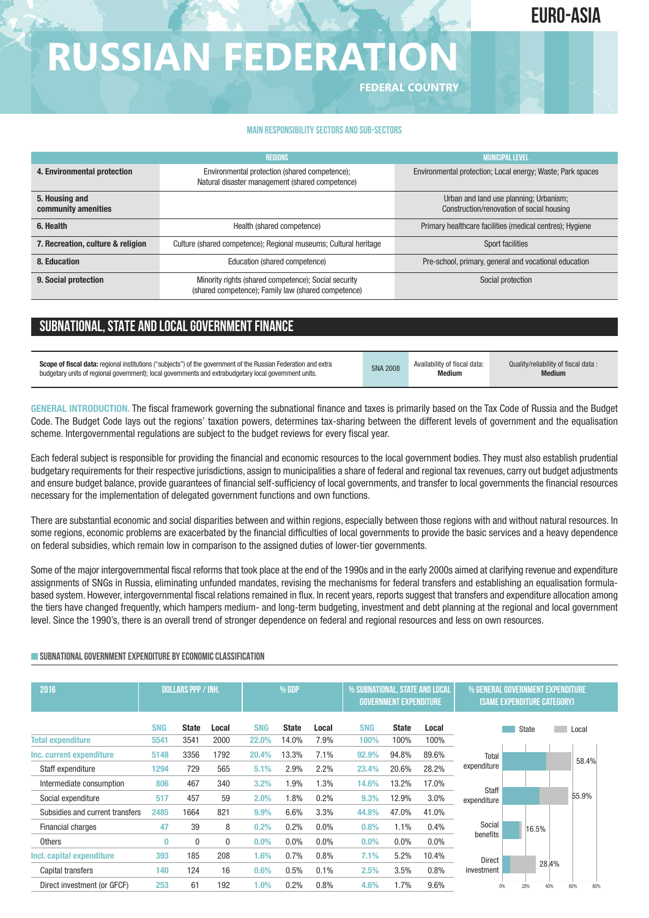## **euro-ASIA**

# **RUSSIAN FEDERATION**

**FEDERAL COUNTRY**

#### **Main responsibilitysectors and sub-sectors**

|                                       | <b>REGIONS</b>                                                                                              | <b>MUNICIPAL LEVEL</b>                                                              |
|---------------------------------------|-------------------------------------------------------------------------------------------------------------|-------------------------------------------------------------------------------------|
| 4. Environmental protection           | Environmental protection (shared competence);<br>Natural disaster management (shared competence)            | Environmental protection; Local energy; Waste; Park spaces                          |
| 5. Housing and<br>community amenities |                                                                                                             | Urban and land use planning; Urbanism;<br>Construction/renovation of social housing |
| 6. Health                             | Health (shared competence)                                                                                  | Primary healthcare facilities (medical centres); Hygiene                            |
| 7. Recreation, culture & religion     | Culture (shared competence); Regional museums; Cultural heritage                                            | Sport facilities                                                                    |
| 8. Education                          | Education (shared competence)                                                                               | Pre-school, primary, general and vocational education                               |
| 9. Social protection                  | Minority rights (shared competence); Social security<br>(shared competence); Family law (shared competence) | Social protection                                                                   |

## **SUBNATIONAL, STATE AND LOCAL GOVERNMENT FINANCE**

| Scope of fiscal data: regional institutions ("subjects") of the government of the Russian Federation and extra | <b>SNA 2008</b> | Availability of fiscal data: | Quality/reliability of fiscal data: |
|----------------------------------------------------------------------------------------------------------------|-----------------|------------------------------|-------------------------------------|
| budgetary units of regional government); local governments and extrabudgetary local government units.          |                 | Medium                       | <b>Medium</b>                       |

**GENERAL INTRODUCTION.** The fiscal framework governing the subnational finance and taxes is primarily based on the Tax Code of Russia and the Budget Code. The Budget Code lays out the regions' taxation powers, determines tax-sharing between the different levels of government and the equalisation scheme. Intergovernmental regulations are subject to the budget reviews for every fiscal year.

Each federal subject is responsible for providing the financial and economic resources to the local government bodies. They must also establish prudential budgetary requirements for their respective jurisdictions, assign to municipalities a share of federal and regional tax revenues, carry out budget adjustments and ensure budget balance, provide guarantees of financial self-sufficiency of local governments, and transfer to local governments the financial resources necessary for the implementation of delegated government functions and own functions.

There are substantial economic and social disparities between and within regions, especially between those regions with and without natural resources. In some regions, economic problems are exacerbated by the financial difficulties of local governments to provide the basic services and a heavy dependence on federal subsidies, which remain low in comparison to the assigned duties of lower-tier governments.

Some of the major intergovernmental fiscal reforms that took place at the end of the 1990s and in the early 2000s aimed at clarifying revenue and expenditure assignments of SNGs in Russia, eliminating unfunded mandates, revising the mechanisms for federal transfers and establishing an equalisation formulabased system. However, intergovernmental fiscal relations remained in flux. In recent years, reports suggest that transfers and expenditure allocation among the tiers have changed frequently, which hampers medium- and long-term budgeting, investment and debt planning at the regional and local government level. Since the 1990's, there is an overall trend of stronger dependence on federal and regional resources and less on own resources.

| 2016                            |            | <b>DOLLARS PPP / INH.</b> |              | % GDP      |              |         | % SUBNATIONAL, STATE AND LOCAL | <b>GOVERNMENT EXPENDITURE</b> | % GENERAL GOVERNMENT EXPENDITURE<br><b>(SAME EXPENDITURE CATEGORY)</b> |                      |     |       |  |            |
|---------------------------------|------------|---------------------------|--------------|------------|--------------|---------|--------------------------------|-------------------------------|------------------------------------------------------------------------|----------------------|-----|-------|--|------------|
|                                 | <b>SNG</b> | <b>State</b>              | Local        | <b>SNG</b> | <b>State</b> | Local   | <b>SNG</b>                     | <b>State</b>                  | Local                                                                  |                      |     | State |  | Local      |
| <b>Total expenditure</b>        | 5541       | 3541                      | 2000         | 22.0%      | 14.0%        | 7.9%    | 100%                           | 100%                          | 100%                                                                   |                      |     |       |  |            |
| Inc. current expenditure        | 5148       | 3356                      | 1792         | 20.4%      | 13.3%        | 7.1%    | 92.9%                          | 94.8%                         | 89.6%                                                                  | Total                |     |       |  | 58.4%      |
| Staff expenditure               | 1294       | 729                       | 565          | 5.1%       | 2.9%         | 2.2%    | 23.4%                          | 20.6%                         | 28.2%                                                                  | expenditure          |     |       |  |            |
| Intermediate consumption        | 806        | 467                       | 340          | 3.2%       | 1.9%         | 1.3%    | 14.6%                          | 13.2%                         | 17.0%                                                                  |                      |     |       |  |            |
| Social expenditure              | 517        | 457                       | 59           | 2.0%       | 1.8%         | 0.2%    | 9.3%                           | 12.9%                         | 3.0%                                                                   | Staff<br>expenditure |     |       |  | 55.9%      |
| Subsidies and current transfers | 2485       | 1664                      | 821          | 9.9%       | 6.6%         | 3.3%    | 44.8%                          | 47.0%                         | 41.0%                                                                  |                      |     |       |  |            |
| <b>Financial charges</b>        | 47         | 39                        | 8            | 0.2%       | 0.2%         | 0.0%    | 0.8%                           | 1.1%                          | 0.4%                                                                   | Social               |     | 16.5% |  |            |
| <b>Others</b>                   | Ω          | 0                         | $\mathbf{0}$ | $0.0\%$    | $0.0\%$      | $0.0\%$ | 0.0%                           | $0.0\%$                       | $0.0\%$                                                                | benefits             |     |       |  |            |
| Incl. capital expenditure       | 393        | 185                       | 208          | 1.6%       | 0.7%         | 0.8%    | 7.1%                           | 5.2%                          | 10.4%                                                                  | Direct               |     |       |  |            |
| Capital transfers               | 140        | 124                       | 16           | 0.6%       | 0.5%         | 0.1%    | 2.5%                           | 3.5%                          | 0.8%                                                                   | investment           |     | 28.4% |  |            |
| Direct investment (or GFCF)     | 253        | 61                        | 192          | $1.0\%$    | 0.2%         | 0.8%    | 4.6%                           | 1.7%                          | 9.6%                                                                   | 0%                   | 20% | 40%   |  | 60%<br>80% |

## **SUBNATIONAL GOVERNMENT EXPENDITURE BY ECONOMIC CLASSIFICATION**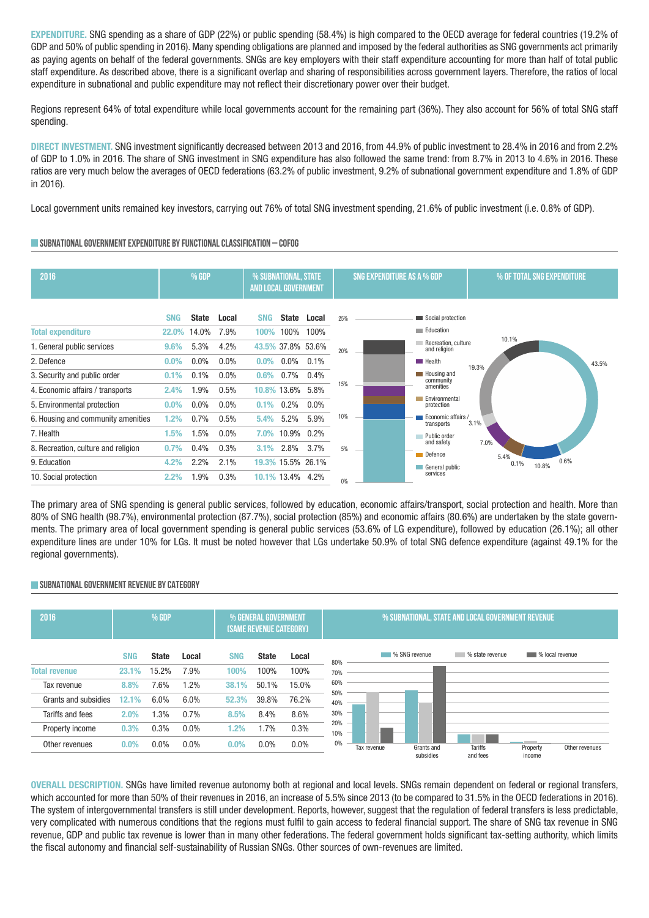**EXPENDITURE.** SNG spending as a share of GDP (22%) or public spending (58.4%) is high compared to the OECD average for federal countries (19.2% of GDP and 50% of public spending in 2016). Many spending obligations are planned and imposed by the federal authorities as SNG governments act primarily as paying agents on behalf of the federal governments. SNGs are key employers with their staff expenditure accounting for more than half of total public staff expenditure. As described above, there is a significant overlap and sharing of responsibilities across government layers. Therefore, the ratios of local expenditure in subnational and public expenditure may not reflect their discretionary power over their budget.

Regions represent 64% of total expenditure while local governments account for the remaining part (36%). They also account for 56% of total SNG staff spending.

**DIRECT INVESTMENT.** SNG investment significantly decreased between 2013 and 2016, from 44.9% of public investment to 28.4% in 2016 and from 2.2% of GDP to 1.0% in 2016. The share of SNG investment in SNG expenditure has also followed the same trend: from 8.7% in 2013 to 4.6% in 2016. These ratios are very much below the averages of OECD federations (63.2% of public investment, 9.2% of subnational government expenditure and 1.8% of GDP in 2016).

Local government units remained key investors, carrying out 76% of total SNG investment spending, 21.6% of public investment (i.e. 0.8% of GDP).

## **SUBNATIONALGOVERNMENTEXPENDITURE BYFUNCTIONALCLASSIFICATION – COFOG**

| 2016                                                              | % GDP                      |                       |                 | % SUBNATIONAL, STATE<br>AND LOCAL GOVERNMENT |                 |     | <b>SNG EXPENDITURE AS A % GDP</b> |                                                                 | % OF TOTAL SNG EXPENDITURE |       |       |  |
|-------------------------------------------------------------------|----------------------------|-----------------------|-----------------|----------------------------------------------|-----------------|-----|-----------------------------------|-----------------------------------------------------------------|----------------------------|-------|-------|--|
| <b>Total expenditure</b>                                          | <b>SNG</b><br><b>22.0%</b> | <b>State</b><br>14.0% | Local<br>7.9%   | <b>SNG</b><br><b>State</b><br>100%<br>100%   | Local<br>100%   | 25% |                                   | Social protection<br>Education                                  |                            |       |       |  |
| 1. General public services<br>2. Defence                          | 9.6%<br>0.0%               | 5.3%<br>$0.0\%$       | 4.2%<br>$0.0\%$ | 43.5% 37.8% 53.6%<br>$0.0\%$<br>$0.0\%$      | 0.1%            | 20% |                                   | Recreation, culture<br>and religion<br><b>Health</b>            | 10.1%                      |       | 43.5% |  |
| 3. Security and public order<br>4. Economic affairs / transports  | 0.1%<br>2.4%               | 0.1%<br>1.9%          | $0.0\%$<br>0.5% | $0.7\%$<br>0.6%<br>10.8% 13.6%               | 0.4%<br>5.8%    | 15% |                                   | Housing and<br>community<br>amenities <sup>7</sup>              | 19.3%                      |       |       |  |
| 5. Environmental protection<br>6. Housing and community amenities | $0.0\%$<br>1.2%            | $0.0\%$<br>0.7%       | $0.0\%$<br>0.5% | $0.2\%$<br>0.1%<br>5.2%<br>5.4%              | $0.0\%$<br>5.9% | 10% |                                   | Environmental<br>protection<br>Economic affairs /<br>transports | 3.1%                       |       |       |  |
| 7. Health<br>8. Recreation, culture and religion                  | 1.5%<br>0.7%               | 1.5%<br>0.4%          | $0.0\%$<br>0.3% | 10.9% 0.2%<br>7.0%<br>2.8%<br>3.1%           | 3.7%            | 5%  |                                   | Public order<br>and safety<br>Defence                           | 7.0%<br>5.4%               |       |       |  |
| 9. Education<br>10. Social protection                             | 4.2%<br>2.2%               | 2.2%<br>1.9%          | 2.1%<br>0.3%    | 19.3% 15.5% 26.1%<br>10.1% 13.4% 4.2%        |                 | 0%  |                                   | General public<br>services                                      | 0.1%                       | 10.8% | 0.6%  |  |

The primary area of SNG spending is general public services, followed by education, economic affairs/transport, social protection and health. More than 80% of SNG health (98.7%), environmental protection (87.7%), social protection (85%) and economic affairs (80.6%) are undertaken by the state governments. The primary area of local government spending is general public services (53.6% of LG expenditure), followed by education (26.1%); all other expenditure lines are under 10% for LGs. It must be noted however that LGs undertake 50.9% of total SNG defence expenditure (against 49.1% for the regional governments).

## **SUBNATIONALGOVERNMENT REVENUE BYCATEGORY**



**OVERALL DESCRIPTION.** SNGs have limited revenue autonomy both at regional and local levels. SNGs remain dependent on federal or regional transfers, which accounted for more than 50% of their revenues in 2016, an increase of 5.5% since 2013 (to be compared to 31.5% in the OECD federations in 2016). The system of intergovernmental transfers is still under development. Reports, however, suggest that the regulation of federal transfers is less predictable, very complicated with numerous conditions that the regions must fulfil to gain access to federal financial support. The share of SNG tax revenue in SNG revenue, GDP and public tax revenue is lower than in many other federations. The federal government holds significant tax-setting authority, which limits the fiscal autonomy and financial self-sustainability of Russian SNGs. Other sources of own-revenues are limited.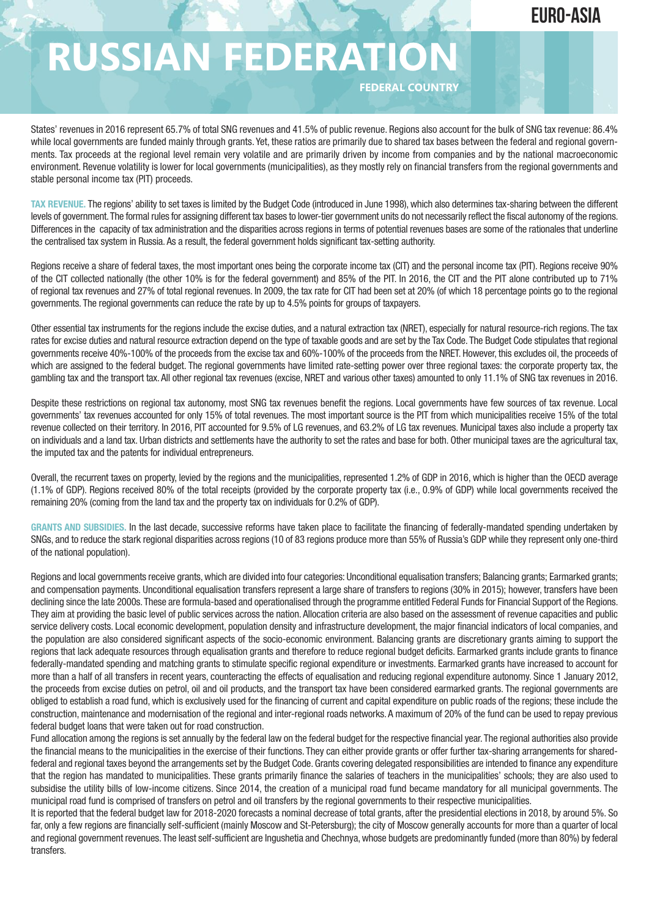## **euro-ASIA**

# **RUSSIAN FEDERATION**

**FEDERAL COUNTRY**

States' revenues in 2016 represent 65.7% of total SNG revenues and 41.5% of public revenue. Regions also account for the bulk of SNG tax revenue: 86.4% while local governments are funded mainly through grants. Yet, these ratios are primarily due to shared tax bases between the federal and regional governments. Tax proceeds at the regional level remain very volatile and are primarily driven by income from companies and by the national macroeconomic environment. Revenue volatility is lower for local governments (municipalities), as they mostly rely on financial transfers from the regional governments and stable personal income tax (PIT) proceeds.

TAX REVENUE. The regions' ability to set taxes is limited by the Budget Code (introduced in June 1998), which also determines tax-sharing between the different levels of government.The formal rules for assigning different tax bases to lower-tier government units do not necessarily reflect the fiscal autonomy of the regions. Differences in the capacity of tax administration and the disparities across regions in terms of potential revenues bases are some of the rationales that underline the centralised tax system in Russia. As a result, the federal government holds significant tax-setting authority.

Regions receive a share of federal taxes, the most important ones being the corporate income tax (CIT) and the personal income tax (PIT). Regions receive 90% of the CIT collected nationally (the other 10% is for the federal government) and 85% of the PIT. In 2016, the CIT and the PIT alone contributed up to 71% of regional tax revenues and 27% of total regional revenues. In 2009, the tax rate for CIT had been set at 20% (of which 18 percentage points go to the regional governments. The regional governments can reduce the rate by up to 4.5% points for groups of taxpayers.

Other essential tax instruments for the regions include the excise duties, and a natural extraction tax (NRET), especially for natural resource-rich regions. The tax rates for excise duties and natural resource extraction depend on the type of taxable goods and are set by the Tax Code. The Budget Code stipulates that regional governments receive 40%-100% of the proceeds from the excise tax and 60%-100% of the proceeds from the NRET. However, this excludes oil, the proceeds of which are assigned to the federal budget. The regional governments have limited rate-setting power over three regional taxes: the corporate property tax, the gambling tax and the transport tax. All other regional tax revenues (excise, NRET and various other taxes) amounted to only 11.1% of SNG tax revenues in 2016.

Despite these restrictions on regional tax autonomy, most SNG tax revenues benefit the regions. Local governments have few sources of tax revenue. Local governments' tax revenues accounted for only 15% of total revenues. The most important source is the PIT from which municipalities receive 15% of the total revenue collected on their territory. In 2016, PIT accounted for 9.5% of LG revenues, and 63.2% of LG tax revenues. Municipal taxes also include a property tax on individuals and a land tax. Urban districts and settlements have the authority to set the rates and base for both. Other municipal taxes are the agricultural tax, the imputed tax and the patents for individual entrepreneurs.

Overall, the recurrent taxes on property, levied by the regions and the municipalities, represented 1.2% of GDP in 2016, which is higher than the OECD average (1.1% of GDP). Regions received 80% of the total receipts (provided by the corporate property tax (i.e., 0.9% of GDP) while local governments received the remaining 20% (coming from the land tax and the property tax on individuals for 0.2% of GDP).

**GRANTS AND SUBSIDIES.** In the last decade, successive reforms have taken place to facilitate the financing of federally-mandated spending undertaken by SNGs, and to reduce the stark regional disparities across regions (10 of 83 regions produce more than 55% of Russia's GDP while they represent only one-third of the national population).

Regions and local governments receive grants, which are divided into four categories: Unconditional equalisation transfers; Balancing grants; Earmarked grants; and compensation payments. Unconditional equalisation transfers represent a large share of transfers to regions (30% in 2015); however, transfers have been declining since the late 2000s. These are formula-based and operationalised through the programme entitled Federal Funds for Financial Support of the Regions. They aim at providing the basic level of public services across the nation. Allocation criteria are also based on the assessment of revenue capacities and public service delivery costs. Local economic development, population density and infrastructure development, the major financial indicators of local companies, and the population are also considered significant aspects of the socio-economic environment. Balancing grants are discretionary grants aiming to support the regions that lack adequate resources through equalisation grants and therefore to reduce regional budget deficits. Earmarked grants include grants to finance federally-mandated spending and matching grants to stimulate specific regional expenditure or investments. Earmarked grants have increased to account for more than a half of all transfers in recent years, counteracting the effects of equalisation and reducing regional expenditure autonomy. Since 1 January 2012, the proceeds from excise duties on petrol, oil and oil products, and the transport tax have been considered earmarked grants. The regional governments are obliged to establish a road fund, which is exclusively used for the financing of current and capital expenditure on public roads of the regions; these include the construction, maintenance and modernisation of the regional and inter-regional roads networks. A maximum of 20% of the fund can be used to repay previous federal budget loans that were taken out for road construction.

Fund allocation among the regions is set annually by the federal law on the federal budget for the respective financial year. The regional authorities also provide the financial means to the municipalities in the exercise of their functions. They can either provide grants or offer further tax-sharing arrangements for sharedfederal and regional taxes beyond the arrangements set by the Budget Code. Grants covering delegated responsibilities are intended to finance any expenditure that the region has mandated to municipalities. These grants primarily finance the salaries of teachers in the municipalities' schools; they are also used to subsidise the utility bills of low-income citizens. Since 2014, the creation of a municipal road fund became mandatory for all municipal governments. The municipal road fund is comprised of transfers on petrol and oil transfers by the regional governments to their respective municipalities.

It is reported that the federal budget law for 2018-2020 forecasts a nominal decrease of total grants, after the presidential elections in 2018, by around 5%. So far, only a few regions are financially self-sufficient (mainly Moscow and St-Petersburg); the city of Moscow generally accounts for more than a quarter of local and regional government revenues. The least self-sufficient are Ingushetia and Chechnya, whose budgets are predominantly funded (more than 80%) by federal transfers.